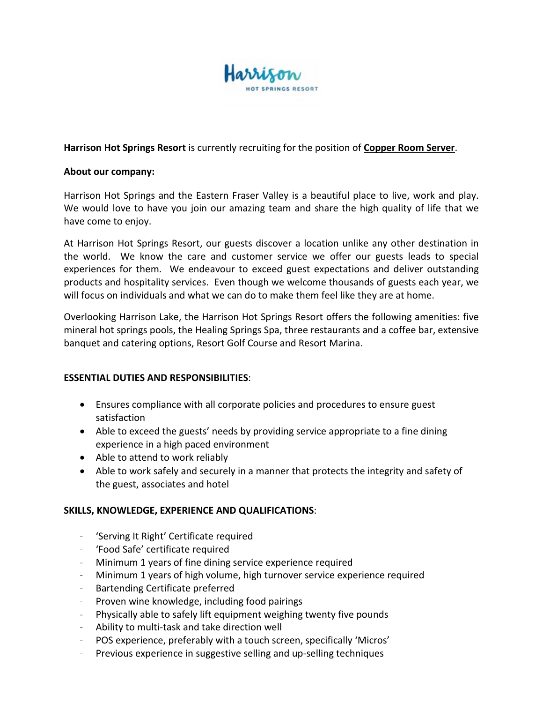

# **Harrison Hot Springs Resort** is currently recruiting for the position of **Copper Room Server**.

## **About our company:**

Harrison Hot Springs and the Eastern Fraser Valley is a beautiful place to live, work and play. We would love to have you join our amazing team and share the high quality of life that we have come to enjoy.

At Harrison Hot Springs Resort, our guests discover a location unlike any other destination in the world. We know the care and customer service we offer our guests leads to special experiences for them. We endeavour to exceed guest expectations and deliver outstanding products and hospitality services. Even though we welcome thousands of guests each year, we will focus on individuals and what we can do to make them feel like they are at home.

Overlooking Harrison Lake, the Harrison Hot Springs Resort offers the following amenities: five mineral hot springs pools, the Healing Springs Spa, three restaurants and a coffee bar, extensive banquet and catering options, Resort Golf Course and Resort Marina.

# **ESSENTIAL DUTIES AND RESPONSIBILITIES**:

- Ensures compliance with all corporate policies and procedures to ensure guest satisfaction
- Able to exceed the guests' needs by providing service appropriate to a fine dining experience in a high paced environment
- Able to attend to work reliably
- Able to work safely and securely in a manner that protects the integrity and safety of the guest, associates and hotel

# **SKILLS, KNOWLEDGE, EXPERIENCE AND QUALIFICATIONS**:

- 'Serving It Right' Certificate required
- 'Food Safe' certificate required
- Minimum 1 years of fine dining service experience required
- Minimum 1 years of high volume, high turnover service experience required
- Bartending Certificate preferred
- Proven wine knowledge, including food pairings
- Physically able to safely lift equipment weighing twenty five pounds
- Ability to multi-task and take direction well
- POS experience, preferably with a touch screen, specifically 'Micros'
- Previous experience in suggestive selling and up-selling techniques